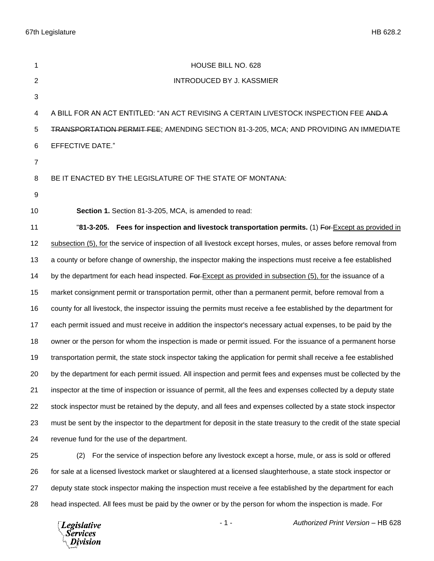67th Legislature HB 628.2

| 1              | HOUSE BILL NO. 628                                                                                                   |
|----------------|----------------------------------------------------------------------------------------------------------------------|
| 2              | <b>INTRODUCED BY J. KASSMIER</b>                                                                                     |
| 3              |                                                                                                                      |
| 4              | A BILL FOR AN ACT ENTITLED: "AN ACT REVISING A CERTAIN LIVESTOCK INSPECTION FEE AND A                                |
| 5              | <b>TRANSPORTATION PERMIT FEE; AMENDING SECTION 81-3-205, MCA; AND PROVIDING AN IMMEDIATE</b>                         |
| 6              | EFFECTIVE DATE."                                                                                                     |
| $\overline{7}$ |                                                                                                                      |
| 8              | BE IT ENACTED BY THE LEGISLATURE OF THE STATE OF MONTANA:                                                            |
| 9              |                                                                                                                      |
| 10             | Section 1. Section 81-3-205, MCA, is amended to read:                                                                |
| 11             | "81-3-205. Fees for inspection and livestock transportation permits. (1) For-Except as provided in                   |
| 12             | subsection (5), for the service of inspection of all livestock except horses, mules, or asses before removal from    |
| 13             | a county or before change of ownership, the inspector making the inspections must receive a fee established          |
| 14             | by the department for each head inspected. For Except as provided in subsection (5), for the issuance of a           |
| 15             | market consignment permit or transportation permit, other than a permanent permit, before removal from a             |
| 16             | county for all livestock, the inspector issuing the permits must receive a fee established by the department for     |
| 17             | each permit issued and must receive in addition the inspector's necessary actual expenses, to be paid by the         |
| 18             | owner or the person for whom the inspection is made or permit issued. For the issuance of a permanent horse          |
| 19             | transportation permit, the state stock inspector taking the application for permit shall receive a fee established   |
| 20             | by the department for each permit issued. All inspection and permit fees and expenses must be collected by the       |
| 21             | inspector at the time of inspection or issuance of permit, all the fees and expenses collected by a deputy state     |
| 22             | stock inspector must be retained by the deputy, and all fees and expenses collected by a state stock inspector       |
| 23             | must be sent by the inspector to the department for deposit in the state treasury to the credit of the state special |
| 24             | revenue fund for the use of the department.                                                                          |
| 25             | (2)<br>For the service of inspection before any livestock except a horse, mule, or ass is sold or offered            |
| 26             | for sale at a licensed livestock market or slaughtered at a licensed slaughterhouse, a state stock inspector or      |
| 27             | deputy state stock inspector making the inspection must receive a fee established by the department for each         |
| 28             | head inspected. All fees must be paid by the owner or by the person for whom the inspection is made. For             |

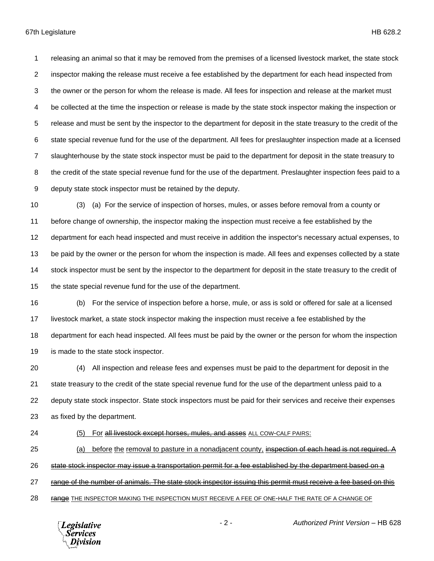releasing an animal so that it may be removed from the premises of a licensed livestock market, the state stock inspector making the release must receive a fee established by the department for each head inspected from the owner or the person for whom the release is made. All fees for inspection and release at the market must be collected at the time the inspection or release is made by the state stock inspector making the inspection or release and must be sent by the inspector to the department for deposit in the state treasury to the credit of the state special revenue fund for the use of the department. All fees for preslaughter inspection made at a licensed slaughterhouse by the state stock inspector must be paid to the department for deposit in the state treasury to the credit of the state special revenue fund for the use of the department. Preslaughter inspection fees paid to a deputy state stock inspector must be retained by the deputy.

 (3) (a) For the service of inspection of horses, mules, or asses before removal from a county or before change of ownership, the inspector making the inspection must receive a fee established by the department for each head inspected and must receive in addition the inspector's necessary actual expenses, to be paid by the owner or the person for whom the inspection is made. All fees and expenses collected by a state stock inspector must be sent by the inspector to the department for deposit in the state treasury to the credit of the state special revenue fund for the use of the department.

 (b) For the service of inspection before a horse, mule, or ass is sold or offered for sale at a licensed livestock market, a state stock inspector making the inspection must receive a fee established by the department for each head inspected. All fees must be paid by the owner or the person for whom the inspection is made to the state stock inspector.

 (4) All inspection and release fees and expenses must be paid to the department for deposit in the state treasury to the credit of the state special revenue fund for the use of the department unless paid to a deputy state stock inspector. State stock inspectors must be paid for their services and receive their expenses as fixed by the department.

## 24 (5) For all livestock except horses, mules, and asses ALL COW-CALF PAIRS:

25 (a) before the removal to pasture in a nonadjacent county, inspection of each head is not required. A

state stock inspector may issue a transportation permit for a fee established by the department based on a

27 range of the number of animals. The state stock inspector issuing this permit must receive a fee based on this

28 range THE INSPECTOR MAKING THE INSPECTION MUST RECEIVE A FEE OF ONE-HALF THE RATE OF A CHANGE OF